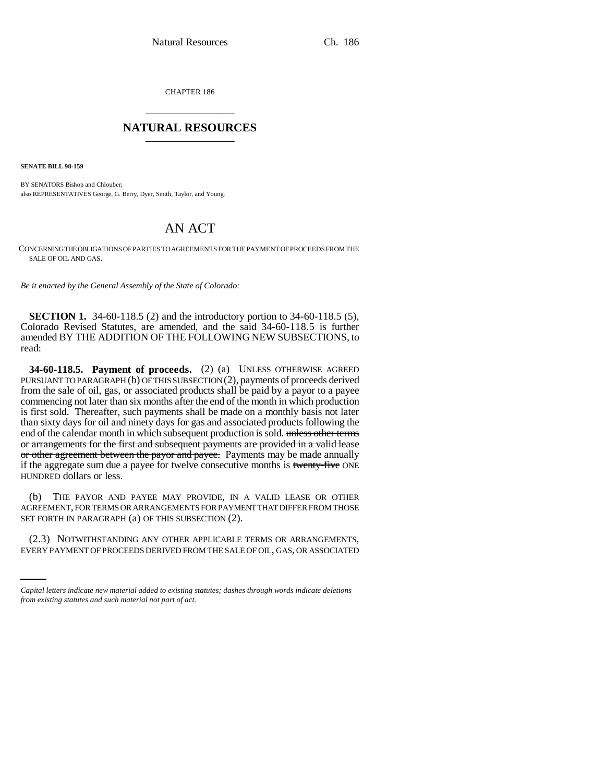CHAPTER 186 \_\_\_\_\_\_\_\_\_\_\_\_\_\_\_

## **NATURAL RESOURCES** \_\_\_\_\_\_\_\_\_\_\_\_\_\_\_

**SENATE BILL 98-159**

BY SENATORS Bishop and Chlouber; also REPRESENTATIVES George, G. Berry, Dyer, Smith, Taylor, and Young.

## AN ACT

CONCERNING THE OBLIGATIONS OF PARTIES TO AGREEMENTS FOR THE PAYMENT OF PROCEEDS FROM THE SALE OF OIL AND GAS.

*Be it enacted by the General Assembly of the State of Colorado:*

**SECTION 1.** 34-60-118.5 (2) and the introductory portion to 34-60-118.5 (5), Colorado Revised Statutes, are amended, and the said 34-60-118.5 is further amended BY THE ADDITION OF THE FOLLOWING NEW SUBSECTIONS, to read:

**34-60-118.5. Payment of proceeds.** (2) (a) UNLESS OTHERWISE AGREED PURSUANT TO PARAGRAPH (b) OF THIS SUBSECTION (2), payments of proceeds derived from the sale of oil, gas, or associated products shall be paid by a payor to a payee commencing not later than six months after the end of the month in which production is first sold. Thereafter, such payments shall be made on a monthly basis not later than sixty days for oil and ninety days for gas and associated products following the end of the calendar month in which subsequent production is sold. unless other terms or arrangements for the first and subsequent payments are provided in a valid lease or other agreement between the payor and payee. Payments may be made annually if the aggregate sum due a payee for twelve consecutive months is twenty-five ONE HUNDRED dollars or less.

(b) THE PAYOR AND PAYEE MAY PROVIDE, IN A VALID LEASE OR OTHER AGREEMENT, FOR TERMS OR ARRANGEMENTS FOR PAYMENT THAT DIFFER FROM THOSE SET FORTH IN PARAGRAPH (a) OF THIS SUBSECTION (2).

(2.3) NOTWITHSTANDING ANY OTHER APPLICABLE TERMS OR ARRANGEMENTS, EVERY PAYMENT OF PROCEEDS DERIVED FROM THE SALE OF OIL, GAS, OR ASSOCIATED

*Capital letters indicate new material added to existing statutes; dashes through words indicate deletions from existing statutes and such material not part of act.*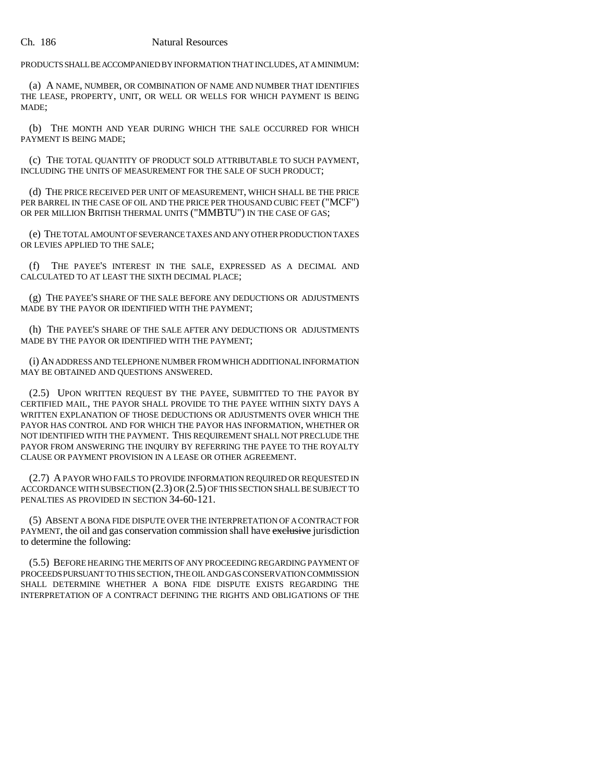PRODUCTS SHALL BE ACCOMPANIED BY INFORMATION THAT INCLUDES, AT A MINIMUM:

(a) A NAME, NUMBER, OR COMBINATION OF NAME AND NUMBER THAT IDENTIFIES THE LEASE, PROPERTY, UNIT, OR WELL OR WELLS FOR WHICH PAYMENT IS BEING MADE;

(b) THE MONTH AND YEAR DURING WHICH THE SALE OCCURRED FOR WHICH PAYMENT IS BEING MADE;

(c) THE TOTAL QUANTITY OF PRODUCT SOLD ATTRIBUTABLE TO SUCH PAYMENT, INCLUDING THE UNITS OF MEASUREMENT FOR THE SALE OF SUCH PRODUCT;

(d) THE PRICE RECEIVED PER UNIT OF MEASUREMENT, WHICH SHALL BE THE PRICE PER BARREL IN THE CASE OF OIL AND THE PRICE PER THOUSAND CUBIC FEET ("MCF") OR PER MILLION BRITISH THERMAL UNITS ("MMBTU") IN THE CASE OF GAS;

(e) THE TOTAL AMOUNT OF SEVERANCE TAXES AND ANY OTHER PRODUCTION TAXES OR LEVIES APPLIED TO THE SALE;

(f) THE PAYEE'S INTEREST IN THE SALE, EXPRESSED AS A DECIMAL AND CALCULATED TO AT LEAST THE SIXTH DECIMAL PLACE;

(g) THE PAYEE'S SHARE OF THE SALE BEFORE ANY DEDUCTIONS OR ADJUSTMENTS MADE BY THE PAYOR OR IDENTIFIED WITH THE PAYMENT;

(h) THE PAYEE'S SHARE OF THE SALE AFTER ANY DEDUCTIONS OR ADJUSTMENTS MADE BY THE PAYOR OR IDENTIFIED WITH THE PAYMENT;

(i) AN ADDRESS AND TELEPHONE NUMBER FROM WHICH ADDITIONAL INFORMATION MAY BE OBTAINED AND QUESTIONS ANSWERED.

(2.5) UPON WRITTEN REQUEST BY THE PAYEE, SUBMITTED TO THE PAYOR BY CERTIFIED MAIL, THE PAYOR SHALL PROVIDE TO THE PAYEE WITHIN SIXTY DAYS A WRITTEN EXPLANATION OF THOSE DEDUCTIONS OR ADJUSTMENTS OVER WHICH THE PAYOR HAS CONTROL AND FOR WHICH THE PAYOR HAS INFORMATION, WHETHER OR NOT IDENTIFIED WITH THE PAYMENT. THIS REQUIREMENT SHALL NOT PRECLUDE THE PAYOR FROM ANSWERING THE INQUIRY BY REFERRING THE PAYEE TO THE ROYALTY CLAUSE OR PAYMENT PROVISION IN A LEASE OR OTHER AGREEMENT.

(2.7) A PAYOR WHO FAILS TO PROVIDE INFORMATION REQUIRED OR REQUESTED IN ACCORDANCE WITH SUBSECTION (2.3) OR (2.5) OF THIS SECTION SHALL BE SUBJECT TO PENALTIES AS PROVIDED IN SECTION 34-60-121.

(5) ABSENT A BONA FIDE DISPUTE OVER THE INTERPRETATION OF A CONTRACT FOR PAYMENT, the oil and gas conservation commission shall have exclusive jurisdiction to determine the following:

(5.5) BEFORE HEARING THE MERITS OF ANY PROCEEDING REGARDING PAYMENT OF PROCEEDS PURSUANT TO THIS SECTION, THE OIL AND GAS CONSERVATION COMMISSION SHALL DETERMINE WHETHER A BONA FIDE DISPUTE EXISTS REGARDING THE INTERPRETATION OF A CONTRACT DEFINING THE RIGHTS AND OBLIGATIONS OF THE